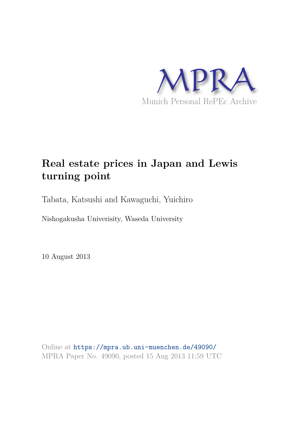

# **Real estate prices in Japan and Lewis turning point**

Tabata, Katsushi and Kawaguchi, Yuichiro

Nishogakusha Univerisity, Waseda University

10 August 2013

Online at https://mpra.ub.uni-muenchen.de/49090/ MPRA Paper No. 49090, posted 15 Aug 2013 11:59 UTC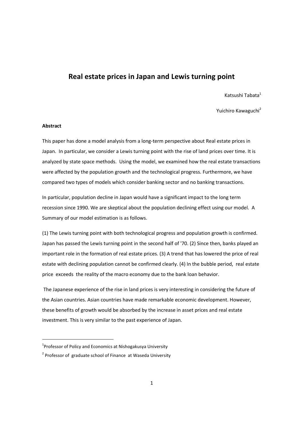## **Real estate prices in Japan and Lewis turning point**

Katsushi Tabata<sup>1</sup>

Yuichiro Kawaguchi<sup>2</sup>

## **Abstract**

<u>.</u>

This paper has done a model analysis from a long-term perspective about Real estate prices in Japan. In particular, we consider a Lewis turning point with the rise of land prices over time. It is analyzed by state space methods. Using the model, we examined how the real estate transactions were affected by the population growth and the technological progress. Furthermore, we have compared two types of models which consider banking sector and no banking transactions.

In particular, population decline in Japan would have a significant impact to the long term recession since 1990. We are skeptical about the population declining effect using our model. A Summary of our model estimation is as follows.

(1) The Lewis turning point with both technological progress and population growth is confirmed. Japan has passed the Lewis turning point in the second half of '70. (2) Since then, banks played an important role in the formation of real estate prices. (3) A trend that has lowered the price of real estate with declining population cannot be confirmed clearly. (4) In the bubble period, real estate price exceeds the reality of the macro economy due to the bank loan behavior.

 The Japanese experience of the rise in land prices is very interesting in considering the future of the Asian countries. Asian countries have made remarkable economic development. However, these benefits of growth would be absorbed by the increase in asset prices and real estate investment. This is very similar to the past experience of Japan.

 $1$ Professor of Policy and Economics at Nishogakusya University

<sup>&</sup>lt;sup>2</sup> Professor of graduate school of Finance at Waseda University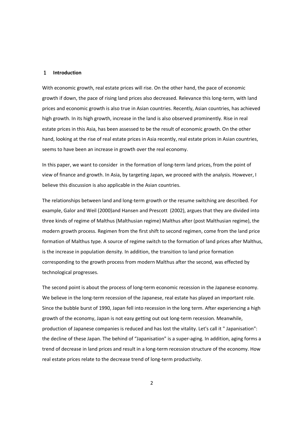#### 1 **Introduction**

With economic growth, real estate prices will rise. On the other hand, the pace of economic growth if down, the pace of rising land prices also decreased. Relevance this long-term, with land prices and economic growth is also true in Asian countries. Recently, Asian countries, has achieved high growth. In its high growth, increase in the land is also observed prominently. Rise in real estate prices in this Asia, has been assessed to be the result of economic growth. On the other hand, looking at the rise of real estate prices in Asia recently, real estate prices in Asian countries, seems to have been an increase in growth over the real economy.

In this paper, we want to consider in the formation of long-term land prices, from the point of view of finance and growth. In Asia, by targeting Japan, we proceed with the analysis. However, I believe this discussion is also applicable in the Asian countries.

The relationships between land and long-term growth or the resume switching are described. For example, Galor and Weil (2000)and Hansen and Prescott (2002), argues that they are divided into three kinds of regime of Malthus (Malthusian regime) Malthus after (post Malthusian regime), the modern growth process. Regimen from the first shift to second regimen, come from the land price formation of Malthus type. A source of regime switch to the formation of land prices after Malthus, is the increase in population density. In addition, the transition to land price formation corresponding to the growth process from modern Malthus after the second, was effected by technological progresses.

The second point is about the process of long-term economic recession in the Japanese economy. We believe in the long-term recession of the Japanese, real estate has played an important role. Since the bubble burst of 1990, Japan fell into recession in the long term. After experiencing a high growth of the economy, Japan is not easy getting out out long-term recession. Meanwhile, production of Japanese companies is reduced and has lost the vitality. Let's call it " Japanisation": the decline of these Japan. The behind of "Japanisation" is a super-aging. In addition, aging forms a trend of decrease in land prices and result in a long-term recession structure of the economy. How real estate prices relate to the decrease trend of long-term productivity.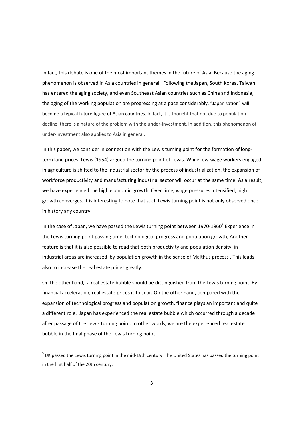In fact, this debate is one of the most important themes in the future of Asia. Because the aging phenomenon is observed in Asia countries in general. Following the Japan, South Korea, Taiwan has entered the aging society, and even Southeast Asian countries such as China and Indonesia, the aging of the working population are progressing at a pace considerably. "Japanisation" will become a typical future figure of Asian countries. In fact, it is thought that not due to population decline, there is a nature of the problem with the under-investment. In addition, this phenomenon of under-investment also applies to Asia in general.

In this paper, we consider in connection with the Lewis turning point for the formation of longterm land prices. Lewis (1954) argued the turning point of Lewis. While low-wage workers engaged in agriculture is shifted to the industrial sector by the process of industrialization, the expansion of workforce productivity and manufacturing industrial sector will occur at the same time. As a result, we have experienced the high economic growth. Over time, wage pressures intensified, high growth converges. It is interesting to note that such Lewis turning point is not only observed once in history any country.

In the case of Japan, we have passed the Lewis turning point between 1970-1960<sup>3</sup>. Experience in the Lewis turning point passing time, technological progress and population growth, Another feature is that it is also possible to read that both productivity and population density in industrial areas are increased by population growth in the sense of Malthus process . This leads also to increase the real estate prices greatly.

On the other hand, a real estate bubble should be distinguished from the Lewis turning point. By financial acceleration, real estate prices is to soar. On the other hand, compared with the expansion of technological progress and population growth, finance plays an important and quite a different role. Japan has experienced the real estate bubble which occurred through a decade after passage of the Lewis turning point. In other words, we are the experienced real estate bubble in the final phase of the Lewis turning point.

<u>.</u>

 $3$  UK passed the Lewis turning point in the mid-19th century. The United States has passed the turning point in the first half of the 20th century.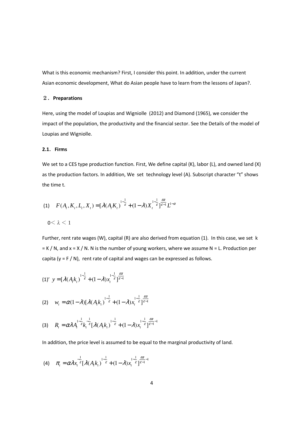What is this economic mechanism? First, I consider this point. In addition, under the current Asian economic development, What do Asian people have to learn from the lessons of Japan?.

## 2.**Preparations**

Here, using the model of Loupias and Wigniolle (2012) and Diamond (1965), we consider the impact of the population, the productivity and the financial sector. See the Details of the model of Loupias and Wigniolle.

## **2.1**.**Firms**

We set to a CES type production function. First, We define capital (K), labor (L), and owned land (X) as the production factors. In addition, We set technology level (A). Subscript character "t" shows the time t.

(1) 
$$
F(A_t, K_t, L_t, X_t) = [\lambda(A_t K_t)^{1-\frac{1}{\varepsilon}} + (1-\lambda)X_t^{1-\frac{1}{\varepsilon}}]_{\varepsilon=1}^{\frac{\varepsilon\alpha}{\varepsilon}} L^{1-\alpha}
$$

$$
0\!\leq\lambda\leq1
$$

Further, rent rate wages (W), capital (R) are also derived from equation (1). In this case, we set k  $= K / N$ , and  $x = X / N$ . N is the number of young workers, where we assume N = L. Production per capita ( $y = F / N$ ), rent rate of capital and wages can be expressed as follows.

$$
(1)' y = \left[\lambda(A_t k_t)\right]^{-\frac{1}{\varepsilon}} + (1-\lambda)x_t^{\frac{1}{\varepsilon}} \frac{\varepsilon \alpha}{\varepsilon^{-1}}
$$

$$
(2) \t w_t = \alpha (1 - \lambda) [\lambda (A_t k_t)^{1 - \frac{1}{\varepsilon}} + (1 - \lambda) x_t^{1 - \frac{1}{\varepsilon}}]_{\varepsilon - 1}^{\frac{\varepsilon \alpha}{\varepsilon}}
$$

$$
(3) \qquad R_t = \alpha \lambda A_t^{1-\frac{1}{\varepsilon}} k_t^{-\frac{1}{\varepsilon}} [\lambda (A_t k_t)^{1-\frac{1}{\varepsilon}} + (1-\lambda) x_t^{1-\frac{1}{\varepsilon}}]_{{\varepsilon}-1}^{{\varepsilon}\alpha}
$$

In addition, the price level is assumed to be equal to the marginal productivity of land.

$$
\text{(4)} \quad \pi_t = \alpha \lambda x_t^{-\frac{1}{\varepsilon}} \left[ \lambda (A_t k_t)^{\frac{1}{\varepsilon}} + (1 - \lambda) x_t^{\frac{1}{\varepsilon}} \right]_{\varepsilon = 1}^{\frac{\varepsilon \alpha}{\varepsilon}}.
$$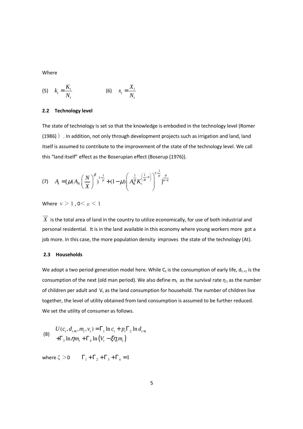Where

(5) 
$$
k_t = \frac{K_t}{N_t}
$$
 (6)  $x_t = \frac{X_t}{N_t}$ 

#### **2.2 Technology level**

The state of technology is set so that the knowledge is embodied in the technology level (Romer (1986) ). In addition, not only through development projects such as irrigation and land, land itself is assumed to contribute to the improvement of the state of the technology level. We call this "land itself" effect as the Boserupian effect (Boserup (1976)).

(7) 
$$
A_{t} = \left[\mu(A_{N}\left(\frac{N}{\overline{X}}\right)^{\beta})^{1-\frac{1}{\nu}} + (1-\mu)\left(A_{K}^{\frac{1}{\alpha}}K_{t}^{\left(\frac{1}{\alpha}-1\right)}\right)^{1-\frac{1}{\nu}}\right]_{\frac{\nu}{\nu-1}}
$$

Where  $v > 1$ ,  $0 \leq \mu \leq 1$ 

 $\overline{X}$  is the total area of land in the country to utilize economically, for use of both industrial and personal residential. It is in the land available in this economy where young workers more got a job more. In this case, the more population density improves the state of the technology (At).

#### **2.3 Households**

We adopt a two period generation model here. While  $C_t$  is the consumption of early life,  $d_{t+1}$  is the consumption of the next (old man period). We also define  $m_t$  as the survival rate  $\eta_t$  as the number of children per adult and  $V_t$  as the land consumption for household. The number of children live together, the level of utility obtained from land consumption is assumed to be further reduced. We set the utility of consumer as follows.

(8) 
$$
U(c_t, d_{t+1}, m_t, v_t) = \Gamma_1 \ln c_t + p_t \Gamma_2 \ln d_{t+1} + \Gamma_3 \ln \eta m_t + \Gamma_4 \ln (V_t - \xi \eta_t m_t)
$$

where  $\zeta > 0$   $\Gamma_1 + \Gamma_2 + \Gamma_3 + \Gamma_4 = 1$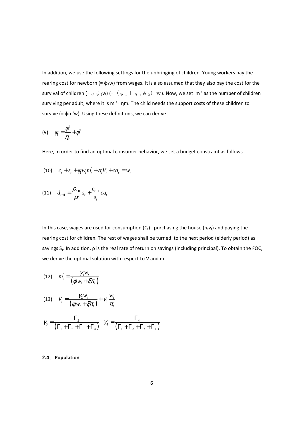In addition, we use the following settings for the upbringing of children. Young workers pay the rearing cost for newborn (=  $\phi_1$ w) from wages. It is also assumed that they also pay the cost for the survival of children (=  $\eta \phi_2$ w) (= ( $\phi_1 + \eta_t \phi_2$ ) w). Now, we set m ' as the number of children surviving per adult, where it is m '= ηm. The child needs the support costs of these children to survive (= φm'w). Using these definitions, we can derive

$$
(9) \qquad \phi_t = \frac{\phi^1}{\eta_t} + \phi^2
$$

Here, in order to find an optimal consumer behavior, we set a budget constraint as follows.

(10) 
$$
c_t + s_t + \phi_t w_t m_t + \pi_t V_t + c a_t = w_t
$$

(11) 
$$
d_{t+1} = \frac{\rho_{t+1}}{\rho t} s_t + \frac{e_{t+1}}{e_t} c a_t
$$

In this case, wages are used for consumption  $(C_t)$ , purchasing the house  $(\pi_t v_t)$  and paying the rearing cost for children. The rest of wages shall be turned to the next period (elderly period) as savings  $S_t$ . In addition,  $\rho$  is the real rate of return on savings (including principal). To obtain the FOC, we derive the optimal solution with respect to V and m '.

(12) 
$$
m_t = \frac{\gamma_3 w_t}{(\phi_t w_t + \xi \pi_t)}
$$
  
(13) 
$$
V_t = \frac{\gamma_2 w_t}{(\phi_t w_t + \xi \pi_t)} + \gamma_4 \frac{w_t}{\pi_t}
$$

$$
\gamma_3 = \frac{\Gamma_2}{\left(\Gamma_1 + \Gamma_2 + \Gamma_3 + \Gamma_4\right)} \quad \gamma_4 = \frac{\Gamma_4}{\left(\Gamma_1 + \Gamma_2 + \Gamma_3 + \Gamma_4\right)}
$$

## **2.4**.**Population**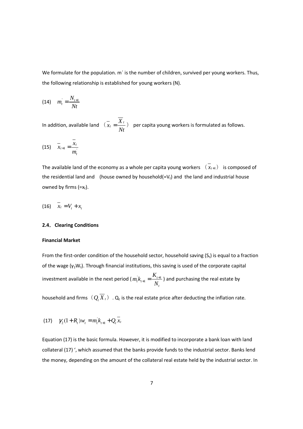We formulate for the population. m´ is the number of children, survived per young workers. Thus, the following relationship is established for young workers (N).

$$
(14) \quad m_t = \frac{N_{t+1}}{Nt}
$$

In addition, available land  $\overline{(x_i + \frac{X_i}{X_i})^2}$ *Nt*  $=\frac{X_t}{X}$ ) per capita young workers is formulated as follows.

$$
(15) \quad \overline{x}_{t+1} = \frac{\overline{x}_t}{m_t}
$$

The available land of the economy as a whole per capita young workers  $(\bar{x}_{t+1})$  is composed of the residential land and (house owned by household(= $V_t$ ) and the land and industrial house owned by firms  $(=x_t)$ .

$$
(16) \quad \overline{x}_t = V_t + x_t
$$

#### **2.4**.**Clearing Conditions**

#### **Financial Market**

From the first-order condition of the household sector, household saving  $(S_t)$  is equal to a fraction of the wage  $(\gamma_2W_t)$ . Through financial institutions, this saving is used of the corporate capital investment available in the next period ( $m_t^{\dagger} k_{t+1} = \frac{K_{t+1}}{M}$ *t*  $m_{i} k_{i+1} = \frac{K}{\cdot}$ *N*  $t_{+1} = \frac{K_{t+1}}{M}$ ) and purchasing the real estate by

household and firms  $(Q_t \overline{X}_t)$  .  $Q_t$  is the real estate price after deducting the inflation rate.

(17) 
$$
\gamma_2(1+R_t)w_t = m_t^{\dagger}k_{t+1} + Q_t\overline{x}_t
$$

Equation (17) is the basic formula. However, it is modified to incorporate a bank loan with land collateral (17) ', which assumed that the banks provide funds to the industrial sector. Banks lend the money, depending on the amount of the collateral real estate held by the industrial sector. In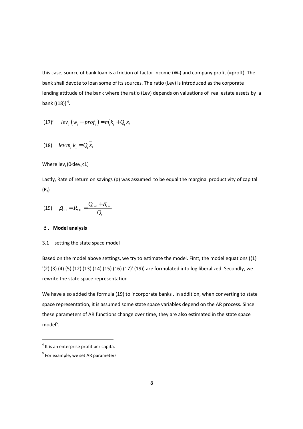this case, source of bank loan is a friction of factor income  $(W_t)$  and company profit (=proft). The bank shall devote to loan some of its sources. The ratio (Lev) is introduced as the corporate lending attitude of the bank where the ratio (Lev) depends on valuations of real estate assets by a bank  $((18))$ <sup>4</sup>.

$$
(17)' \quad lev_t \left( w_t + prof_t \right) = m_t k_t + Q_t \overline{x}_t
$$

$$
(18) \quad lev\,m_t^{\dagger}\,k_t = Q_t\,\overline{x}_t
$$

Where  $lev_t(0$ 

Lastly, Rate of return on savings (ρ) was assumed to be equal the marginal productivity of capital  $(R_t)$ 

$$
(19) \qquad \rho_{t+1} = R_{t+1} = \frac{Q_{t+1} + \pi_{t+1}}{Q_t}
$$

## 3.**Model analysis**

## 3.1 setting the state space model

Based on the model above settings, we try to estimate the model. First, the model equations ((1) '(2) (3) (4) (5) (12) (13) (14) (15) (16) (17)' (19)) are formulated into log liberalized. Secondly, we rewrite the state space representation.

We have also added the formula (19) to incorporate banks . In addition, when converting to state space representation, it is assumed some state space variables depend on the AR process. Since these parameters of AR functions change over time, they are also estimated in the state space model<sup>5</sup>.

<u>.</u>

 $<sup>4</sup>$  It is an enterprise profit per capita.</sup>

 $<sup>5</sup>$  For example, we set AR parameters</sup>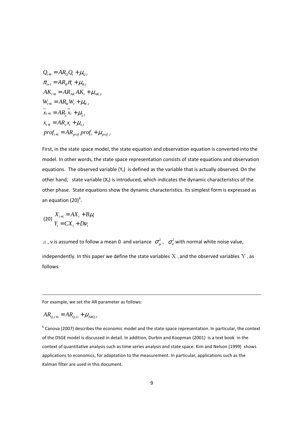$$
Q_{t+1} = AR_{Q}Q_{t} + \mu_{Q,t}
$$
  
\n
$$
\pi_{t+1} = AR_{\pi}\pi_{t} + \mu_{\pi,t}
$$
  
\n
$$
AK_{t+1} = AR_{AK}AK_{t} + \mu_{AK,t}
$$
  
\n
$$
W_{t+1} = AR_{W}W_{t} + \mu_{W,t}
$$
  
\n
$$
X_{t+1} = AR_{\pi}X_{t} + \mu_{\pi,t}
$$
  
\n
$$
x_{t+1} = AR_{X}X_{t} + \mu_{\pi,t}
$$
  
\n
$$
prof_{t+1} = AR_{prof} prof_{t} + \mu_{prof}
$$

First, in the state space model, the state equation and observation equation is converted into the model. In other words, the state space representation consists of state equations and observation equations. The observed variable  $(Y_t)$  is defined as the variable that is actually observed. On the other hand, state variable  $(X_t)$  is introduced, which indicates the dynamic characteristics of the other phase. State equations show the dynamic characteristics. Its simplest form is expressed as an equation  $(20)^6$ .

$$
\begin{aligned} \text{(20)} \ X_{t+1} &= AX_t + B\mu_t\\ Y_t &= CX_t + D\nu_t \end{aligned}
$$

μ, v is assumed to follow a mean 0 and variance  $\sigma^2_\mu$ ,  $\sigma^2_\nu$  with normal white noise value, independently. In this paper we define the state variables  $X_t$  and the observed variables  $Y_t$  as follows.

For example, we set the AR parameter as follows:

$$
AR_{Q,t+1} = AR_{Q,t} + \mu_{ARQ,t}
$$

<u>.</u>

 $<sup>6</sup>$  Canova (2007) describes the economic model and the state space representation. In particular, the context</sup> of the DSGE model is discussed in detail. In addition, Durbin and Koopman (2001) is a text book in the context of quantitative analysis such as time series analysis and state space. Kim and Nelson (1999) shows applications to economics, for adaptation to the measurement. In particular, applications such as the Kalman filter are used in this document.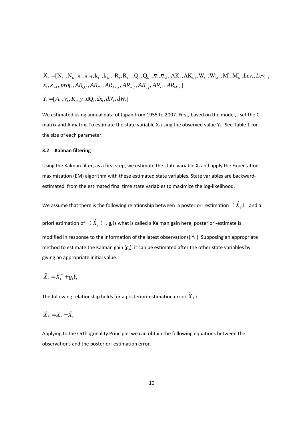$$
X_{t} = [N_{t}, N_{t-1} \overline{x}_{t}, \overline{x}_{t-1}, k_{t}, k_{t-1}, R_{t}, R_{t-1}, Q_{t}, Q_{t-1}, \pi_{t}, \pi_{t-1}, AK_{t}, AK_{t-1}, W_{t}, W_{t-1}, M_{t}', M_{t-1}'.Lev_{t}, Lev_{t-1}
$$
  

$$
x_{t}, x_{t-1}, prof_{t}, AR_{Q,t}, AR_{\pi,t}, AR_{AK,t}, AR_{W,t}, AR_{\overline{x},t}, AR_{M',t}]
$$
  

$$
Y_{t} = [A_{t}, V_{t}, K_{t}, y_{t}, dQ_{t}, dx_{t}, dN_{t}, dW_{t}]
$$

We estimated using annual data of Japan from 1955 to 2007. First, based on the model, I set the C matrix and A matrix. To estimate the state variable  $X_t$  using the observed value  $Y_t$ . See Table 1 for the size of each parameter.

#### **3.2 Kalman filtering**

Using the Kalman filter, as a first step, we estimate the state variable  $X_t$  and apply the Expectationmaximization (EM) algorithm with these estimated state variables. State variables are backwardestimated from the estimated final time state variables to maximize the log-likelihood.

We assume that there is the following relationship between a posteriori estimation  $(\hat{X}_i)$  and a

priori estimation of  $(\ \hat{X}^-_t )$  .  $\mathsf{g}_\mathsf{t}$  is what is called a Kalman gain here, posteriori-estimate is modified in response to the information of the latest observations( $Y_t$ ). Supposing an appropriate method to estimate the Kalman gain  $(g_t)$ , it can be estimated after the other state variables by giving an appropriate initial value.

$$
\hat{X}_t = \hat{X}_t^- + g_t Y_t
$$

The following relationship holds for a posteriori-estimation error( $\widetilde{X}_t$ ).

$$
\widetilde{X}_t = X_t - \hat{X}_t
$$

Applying to the Orthogonality Principle, we can obtain the following equations between the observations and the posteriori-estimation error.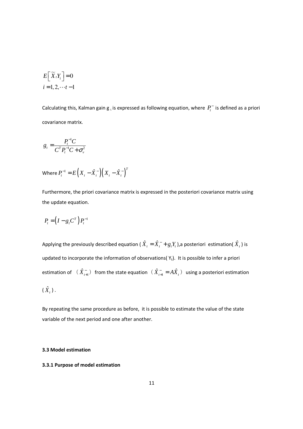$$
E\left[\widetilde{X}_i Y_i\right] = 0
$$
  

$$
i = 1, 2, \dots t - 1
$$

Calculating this, Kalman gain  $g_t$  is expressed as following equation, where  $P_t^-$  is defined as a priori covariance matrix.

$$
g_t = \frac{P_t^{-1}C}{C^T P_t^{-1}C + \sigma_v^2}
$$

Where 
$$
P_t^{-1} = E\left(X_t - \hat{X}_t^{-}\right)\left(X_t - \hat{X}_t^{-}\right)^T
$$

Furthermore, the priori covariance matrix is expressed in the posteriori covariance matrix using the update equation.

$$
P_t = \left(I - g_t C^T\right) P_t^{-1}
$$

Applying the previously described equation (  $\hat{X}_t = \hat{X}_t^- + g_t Y_t$  ),a posteriori estimation(  $\hat{X}_t$  ) is updated to incorporate the information of observations( $Y_t$ ). It is possible to infer a priori estimation of  $(\hat{X}_{i+1}^{-})$  from the state equation  $(\hat{X}_{i+1}^{-} = A\hat{X}_{i})$  using a posteriori estimation  $(\,\hat{X}\hskip-1pt_t\,)\,.$ 

By repeating the same procedure as before, it is possible to estimate the value of the state variable of the next period and one after another.

## **3.3 Model estimation**

## **3.3.1 Purpose of model estimation**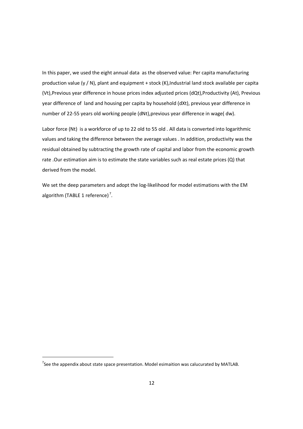In this paper, we used the eight annual data as the observed value: Per capita manufacturing production value (y / N), plant and equipment + stock (K), Industrial land stock available per capita (Vt),Previous year difference in house prices index adjusted prices (dQt),Productivity (At), Previous year difference of land and housing per capita by household (dXt), previous year difference in number of 22-55 years old working people (dNt),previous year difference in wage( dw).

Labor force (Nt) is a workforce of up to 22 old to 55 old . All data is converted into logarithmic values and taking the difference between the average values . In addition, productivity was the residual obtained by subtracting the growth rate of capital and labor from the economic growth rate .Our estimation aim is to estimate the state variables such as real estate prices (Q) that derived from the model.

We set the deep parameters and adopt the log-likelihood for model estimations with the EM algorithm (TABLE 1 reference)<sup>7</sup>.

<u>.</u>

 $^7$ See the appendix about state space presentation. Model esimaition was calucurated by MATLAB.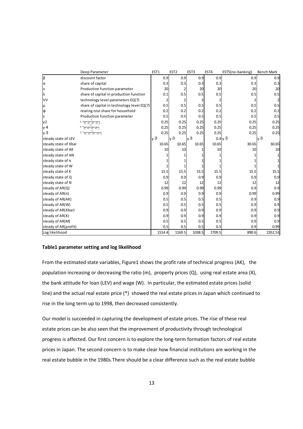|                       | Deep Parameter                                                                                                                                                                                                           | EST1   | EST <sub>2</sub> |      | EST <sub>3</sub> | EST4   | EST5(no-banking) | <b>Bench Mark</b> |
|-----------------------|--------------------------------------------------------------------------------------------------------------------------------------------------------------------------------------------------------------------------|--------|------------------|------|------------------|--------|------------------|-------------------|
| β                     | discount factor                                                                                                                                                                                                          | 0.9    |                  | 0.9  | 0.9              | 0.9    | 0.9              | 0.9               |
| α                     | share of capital                                                                                                                                                                                                         | 0.3    |                  | 0.3  | 0.3              | 0.3    | 0.3              | 0.3               |
| э                     | Production function parameter                                                                                                                                                                                            | 20     |                  |      | 20               | 20     | 20               | 20                |
| λ                     | share of capital in production function                                                                                                                                                                                  | 0.1    |                  | 0.5  | 0.5              | 0.5    | 0.5              | 0.5               |
| VV                    | technology level parameters EQ(7)                                                                                                                                                                                        |        |                  |      | 2                |        |                  |                   |
| μ                     | share of capital in technology level EQ(7)                                                                                                                                                                               | 0.5    |                  | 0.5  | 0.5              | 0.5    | 0.5              | 0.5               |
| $\phi$                | rearing cost share for household                                                                                                                                                                                         | 0.2    |                  | 0.2  | 0.2              | 0.2    | 0.2              | 0.2               |
| ε                     | Production function parameter                                                                                                                                                                                            | 0.5    |                  | 0.5  | 0.5              | 0.5    | 0.5              | 0.5               |
| γ2                    | $\gamma_{\scriptscriptstyle{3}} = \frac{\Gamma_{\scriptscriptstyle{2}}}{\left(\Gamma_{\scriptscriptstyle{1}} + \Gamma_{\scriptscriptstyle{2}} + \Gamma_{\scriptscriptstyle{3}} + \Gamma_{\scriptscriptstyle{4}}\right)}$ | 0.25   |                  | 0.25 | 0.25             | 0.25   | 0.25             | 0.25              |
| $\nu$ 4               | $\gamma_{\scriptscriptstyle 3} = \frac{1}{\left(\Gamma_{\scriptscriptstyle 1} + \Gamma_{\scriptscriptstyle 2} + \Gamma_{\scriptscriptstyle 3} + \Gamma_{\scriptscriptstyle 4}\right)}$                                   | 0.25   |                  | 0.25 | 0.25             | 0.25   | 0.25             | 0.25              |
| y <sup>3</sup>        | $\gamma_3 = \frac{\epsilon}{\left(\Gamma_1 + \Gamma_2 + \Gamma_3 + \Gamma_4\right)}$                                                                                                                                     | 0.25   |                  | 0.25 | 0.25             | 0.25   | 0.25             | 0.25              |
| steady state of LEV   |                                                                                                                                                                                                                          | ν3     | ν3               |      | ly 3             | 0.4v3  |                  | lv 3              |
| steady state of Xbar  |                                                                                                                                                                                                                          | 10.65  | 10.65            |      | 10.65            | 10.65  | 30.65            | 30.65             |
| steady state of AK    |                                                                                                                                                                                                                          | 10     |                  | 10   |                  | 10     | 10               | 10                |
| steady state of AN    |                                                                                                                                                                                                                          |        |                  |      |                  |        |                  |                   |
| steady state of $\pi$ |                                                                                                                                                                                                                          |        |                  |      |                  |        |                  |                   |
| steady state of W     |                                                                                                                                                                                                                          |        |                  |      |                  |        |                  |                   |
| steady state of K     |                                                                                                                                                                                                                          | 15.5   |                  | 15.5 | 15.5             | 15.5   | 15.5             | 15.5              |
| steady state of Q     |                                                                                                                                                                                                                          | 0.9    |                  | 0.9  | 0.9              | 0.9    | 0.9              | 0.9               |
| steady state of N     |                                                                                                                                                                                                                          | 12     |                  | 12   | 12               | 12     | 12               | 12                |
| steady of AR(Q)       |                                                                                                                                                                                                                          | 0.99   |                  | 0.99 | 0.99             | 0.99   | 0.9              | 0.9               |
| steady of $AR(\pi)$   |                                                                                                                                                                                                                          | 0.9    |                  | 0.9  | 0.9              | 0.9    | 0.99             | 0.99              |
| steady of AR(AK)      |                                                                                                                                                                                                                          | 0.5    |                  | 0.5  | 0.5              | 0.5    | 0.9              | 0.9               |
| steady of AR(W)       |                                                                                                                                                                                                                          | 0.5    |                  | 0.5  | 0.5              | 0.5    | 0.9              | 0.9               |
| steady of AR(Xbar)    |                                                                                                                                                                                                                          | 0.9    |                  | 0.9  | 0.9              | 0.9    | 0.9              | 0.9               |
| steady of AR(X)       |                                                                                                                                                                                                                          | 0.9    |                  | 0.9  | 0.9              | 0.9    | 0.9              | 0.9               |
| steady of AR(M)       |                                                                                                                                                                                                                          | 0.5    |                  | 0.5  | 0.5              | 0.5    | 0.9              | 0.9               |
| steady of AR(profit)  |                                                                                                                                                                                                                          | 0.5    |                  | 0.5  | 0.5              | 0.5    | 0.9              | 0.99              |
| Log likelihood        |                                                                                                                                                                                                                          | 1514.4 | 1169.5           |      | 1038.5           | 1709.5 | 890.6            | 2352.53           |

#### **Table1 parameter setting and log likelihood**

From the estimated state variables, Figure1 shows the profit rate of technical progress (AK), the population increasing or decreasing the ratio (m), property prices (Q), using real estate area (X), the bank attitude for loan (LEV) and wage (W). In particular, the estimated estate prices (solid line) and the actual real estate price (\*) showed the real estate prices in Japan which continued to rise in the long term up to 1998, then decreased consistently.

Our model is succeeded in capturing the development of estate prices. The rise of these real estate prices can be also seen that the improvement of productivity through technological progress is affected. Our first concern is to explore the long-term formation factors of real estate prices in Japan. The second concern is to make clear how financial institutions are working in the real estate bubble in the 1980s.There should be a clear difference such as the real estate bubble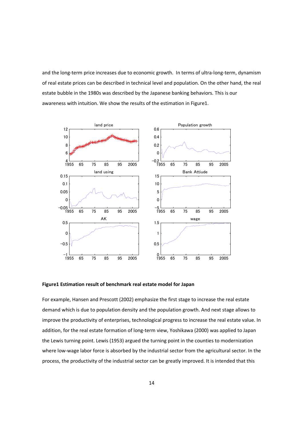and the long-term price increases due to economic growth. In terms of ultra-long-term, dynamism of real estate prices can be described in technical level and population. On the other hand, the real estate bubble in the 1980s was described by the Japanese banking behaviors. This is our awareness with intuition. We show the results of the estimation in Figure1.



**Figure1 Estimation result of benchmark real estate model for Japan** 

For example, Hansen and Prescott (2002) emphasize the first stage to increase the real estate demand which is due to population density and the population growth. And next stage allows to improve the productivity of enterprises, technological progress to increase the real estate value. In addition, for the real estate formation of long-term view, Yoshikawa (2000) was applied to Japan the Lewis turning point. Lewis (1953) argued the turning point in the counties to modernization where low-wage labor force is absorbed by the industrial sector from the agricultural sector. In the process, the productivity of the industrial sector can be greatly improved. It is intended that this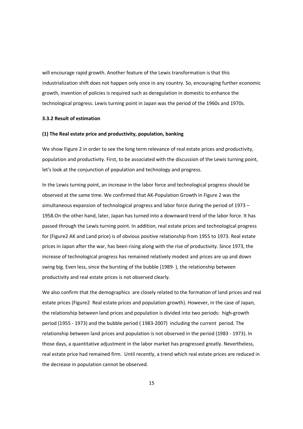will encourage rapid growth. Another feature of the Lewis transformation is that this industrialization shift does not happen only once in any country. So, encouraging further economic growth, invention of policies is required such as deregulation in domestic to enhance the technological progress. Lewis turning point in Japan was the period of the 1960s and 1970s.

#### **3.3.2 Result of estimation**

#### **(1) The Real estate price and productivity, population, banking**

We show Figure 2 in order to see the long term relevance of real estate prices and productivity, population and productivity. First, to be associated with the discussion of the Lewis turning point, let's look at the conjunction of population and technology and progress.

In the Lewis turning point, an increase in the labor force and technological progress should be observed at the same time. We confirmed that AK-Population Growth in Figure 2 was the simultaneous expansion of technological progress and labor force during the period of 1973 – 1958.On the other hand, later, Japan has turned into a downward trend of the labor force. It has passed through the Lewis turning point. In addition, real estate prices and technological progress for (Figure2 AK and Land price) is of obvious positive relationship from 1955 to 1973. Real estate prices in Japan after the war, has been rising along with the rise of productivity. Since 1973, the increase of technological progress has remained relatively modest and prices are up and down swing big. Even less, since the bursting of the bubble (1989- ), the relationship between productivity and real estate prices is not observed clearly.

We also confirm that the demographics are closely related to the formation of land prices and real estate prices (Figure2 Real estate prices and population growth). However, in the case of Japan, the relationship between land prices and population is divided into two periods: high-growth period (1955 - 1973) and the bubble period ( 1983-2007) including the current period. The relationship between land prices and population is not observed in the period (1983 - 1973). In those days, a quantitative adjustment in the labor market has progressed greatly. Nevertheless, real estate price had remained firm. Until recently, a trend which real estate prices are reduced in the decrease in population cannot be observed.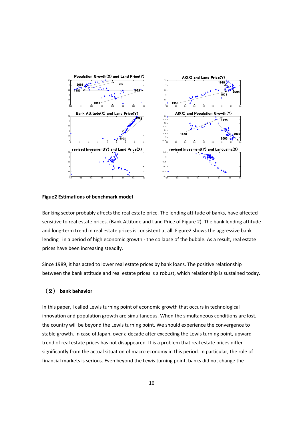

#### **Figue2 Estimations of benchmark model**

Banking sector probably affects the real estate price. The lending attitude of banks, have affected sensitive to real estate prices. (Bank Attitude and Land Price of Figure 2). The bank lending attitude and long-term trend in real estate prices is consistent at all. Figure2 shows the aggressive bank lending in a period of high economic growth - the collapse of the bubble. As a result, real estate prices have been increasing steadily.

Since 1989, it has acted to lower real estate prices by bank loans. The positive relationship between the bank attitude and real estate prices is a robust, which relationship is sustained today.

## (2) **bank behavior**

In this paper, I called Lewis turning point of economic growth that occurs in technological innovation and population growth are simultaneous. When the simultaneous conditions are lost, the country will be beyond the Lewis turning point. We should experience the convergence to stable growth. In case of Japan, over a decade after exceeding the Lewis turning point, upward trend of real estate prices has not disappeared. It is a problem that real estate prices differ significantly from the actual situation of macro economy in this period. In particular, the role of financial markets is serious. Even beyond the Lewis turning point, banks did not change the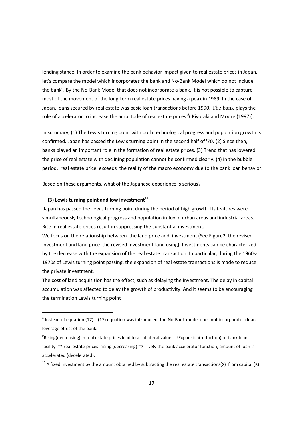lending stance. In order to examine the bank behavior impact given to real estate prices in Japan, let's compare the model which incorporates the bank and No-Bank Model which do not include the bank<sup>8</sup>. By the No-Bank Model that does not incorporate a bank, it is not possible to capture most of the movement of the long-term real estate prices having a peak in 1989. In the case of Japan, loans secured by real estate was basic loan transactions before 1990. The bank plays the role of accelerator to increase the amplitude of real estate prices  $9$ (Kiyotaki and Moore (1997)).

In summary, (1) The Lewis turning point with both technological progress and population growth is confirmed. Japan has passed the Lewis turning point in the second half of '70. (2) Since then, banks played an important role in the formation of real estate prices. (3) Trend that has lowered the price of real estate with declining population cannot be confirmed clearly. (4) in the bubble period, real estate price exceeds the reality of the macro economy due to the bank loan behavior.

Based on these arguments, what of the Japanese experience is serious?

## **(3) Lewis turning point and low investment** $10$

<u>.</u>

 Japan has passed the Lewis turning point during the period of high growth. Its features were simultaneously technological progress and population influx in urban areas and industrial areas. Rise in real estate prices result in suppressing the substantial investment.

We focus on the relationship between the land price and investment (See Figure2 the revised Investment and land price the revised Investment-land using). Investments can be characterized by the decrease with the expansion of the real estate transaction. In particular, during the 1960s-1970s of Lewis turning point passing, the expansion of real estate transactions is made to reduce the private investment.

The cost of land acquisition has the effect, such as delaying the investment. The delay in capital accumulation was affected to delay the growth of productivity. And it seems to be encouraging the termination Lewis turning point

 $^8$  Instead of equation (17) ', (17) equation was introduced. the No-Bank model does not incorporate a loan leverage effect of the bank.

<sup>&</sup>lt;sup>9</sup>Rising(decreasing) in real estate prices lead to a collateral value ⇒Expansion(reduction) of bank loan facility  $\Rightarrow$  real estate prices rising (decreasing)  $\Rightarrow$  ---. By the bank accelerator function, amount of loan is accelerated (decelerated).

 $10$  A fixed investment by the amount obtained by subtracting the real estate transactions(X) from capital (K).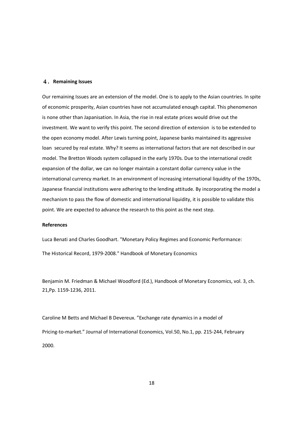#### 4.**Remaining Issues**

Our remaining Issues are an extension of the model. One is to apply to the Asian countries. In spite of economic prosperity, Asian countries have not accumulated enough capital. This phenomenon is none other than Japanisation. In Asia, the rise in real estate prices would drive out the investment. We want to verify this point. The second direction of extension is to be extended to the open economy model. After Lewis turning point, Japanese banks maintained its aggressive loan secured by real estate. Why? It seems as international factors that are not described in our model. The Bretton Woods system collapsed in the early 1970s. Due to the international credit expansion of the dollar, we can no longer maintain a constant dollar currency value in the international currency market. In an environment of increasing international liquidity of the 1970s, Japanese financial institutions were adhering to the lending attitude. By incorporating the model a mechanism to pass the flow of domestic and international liquidity, it is possible to validate this point. We are expected to advance the research to this point as the next step.

#### **References**

Luca Benati and Charles Goodhart. "Monetary Policy Regimes and Economic Performance: The Historical Record, 1979-2008." Handbook of Monetary Economics

Benjamin M. Friedman & Michael Woodford (Ed.), Handbook of Monetary Economics, vol. 3, ch. 21,Pp. 1159-1236, 2011.

Caroline M Betts and Michael B Devereux. "Exchange rate dynamics in a model of Pricing-to-market." Journal of International Economics, Vol.50, No.1, pp. 215-244, February 2000.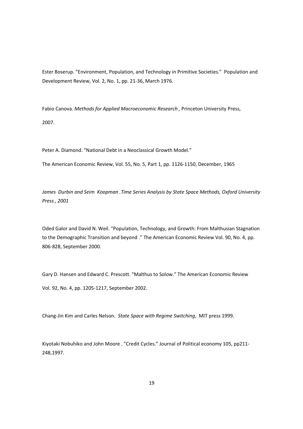Ester Boserup. "Environment, Population, and Technology in Primitive Societies." Population and Development Review, Vol. 2, No. 1, pp. 21-36, March 1976.

Fabio Canova. *Methods for Applied Macroeconomic Research ,* Princeton University Press, 2007.

Peter A. Diamond. "National Debt in a Neoclassical Growth Model."

The American Economic Review, Vol. 55, No. 5, Part 1, pp. 1126-1150, December, 1965

*James Durbin and Seim Koopman .Time Series Analysis by State Space Methods, Oxford University Press , 2001* 

Oded Galor and David N. Weil. "Population, Technology, and Growth: From Malthusian Stagnation to the Demographic Transition and beyond ." The American Economic Review Vol. 90, No. 4, pp. 806-828, September 2000.

Gary D. Hansen and Edward C. Prescott. "Malthus to Solow." The American Economic Review Vol. 92, No. 4, pp. 1205-1217, September 2002.

Chang-Jin Kim and Carles Nelson*. State Space with Regime Switching*, MIT press 1999.

Kiyotaki Nobuhiko and John Moore . "Credit Cycles." Journal of Political economy 105, pp211- 248,1997.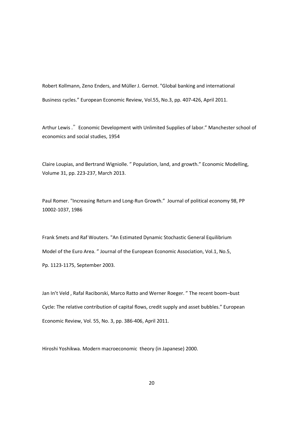Robert Kollmann, Zeno Enders, and Müller J. Gernot. "Global banking and international Business cycles." European Economic Review, Vol.55, No.3, pp. 407-426, April 2011.

Arthur Lewis ." Economic Development with Unlimited Supplies of labor." Manchester school of economics and social studies, 1954

Claire Loupias, and Bertrand Wigniolle. " Population, land, and growth." Economic Modelling, Volume 31, pp. 223-237, March 2013.

Paul Romer. "Increasing Return and Long-Run Growth." Journal of political economy 98, PP 10002-1037, 1986

Frank Smets and Raf Wouters. "An Estimated Dynamic Stochastic General Equilibrium Model of the Euro Area. " Journal of the European Economic Association, Vol.1, No.5, Pp. 1123-1175, September 2003.

Jan In't Veld , Rafal Raciborski, Marco Ratto and Werner Roeger. " The recent boom–bust Cycle: The relative contribution of capital flows, credit supply and asset bubbles." European Economic Review, Vol. 55, No. 3, pp. 386-406, April 2011.

Hiroshi Yoshikwa. Modern macroeconomic theory (in Japanese) 2000.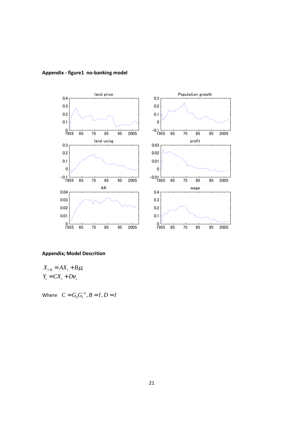

## **Appendix - figure1 no-banking model**

## **Appendix; Model Descrition**

 $X_{t+1} = AX_{t} + B\mu_{t}$  $Y_t = CX_t + DV_t$ 

Where  $C = G_0 G_1^{-1}, B = I, D = I$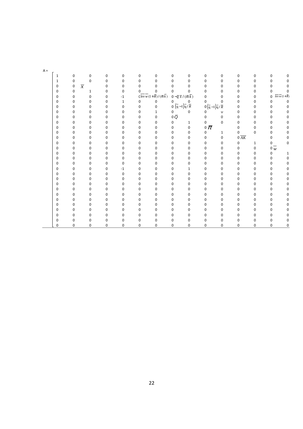| $A -$ |              |                             |              |             |             |                                                                 |          |                                                                   |              |                                                              |              |                  |              |                                       |              |
|-------|--------------|-----------------------------|--------------|-------------|-------------|-----------------------------------------------------------------|----------|-------------------------------------------------------------------|--------------|--------------------------------------------------------------|--------------|------------------|--------------|---------------------------------------|--------------|
|       | $\mathbf{1}$ | n                           | $\Omega$     | 0           | 0           | $\Omega$                                                        | 0        | $\Omega$                                                          | 0            | 0                                                            | 0            | $\Omega$         | 0            | 0                                     |              |
|       | $\mathbf 1$  | 0                           | $\mathbf 0$  | $\mathbf 0$ | $\Omega$    | 0                                                               | 0        | $\Omega$                                                          | 0            | 0                                                            |              | $\mathbf 0$      | <sup>0</sup> | 0                                     | n            |
|       | 0            | $\overline{x}$<br>$\pmb{0}$ |              | $\mathbf 0$ | 0           | $\Omega$                                                        | $\Omega$ | O                                                                 | 0            | 0                                                            | U            | 0                | 0            | $\mathbf 0$                           | <sup>0</sup> |
|       | 0            | $\pmb{0}$                   | $\mathbf{1}$ | 0           | 0           | 0                                                               | 0        | 0                                                                 | 0            | $\Omega$                                                     | U            | $\mathbf 0$      | 0            | 0<br>$\frac{0}{levw(1+\overline{R})}$ |              |
|       | 0            | $\mathbf 0$                 | 0            | $\pmb{0}$   | $-1$        | $\overline{Clevw}(1+\overline{R})/(\overline{m}\,\overline{k})$ |          | $0-\overline{q}\,\overline{x}\,/\,(\overline{m}\,\overline{k}\,)$ |              | 0                                                            | 0            | 0                | 0            | 0                                     |              |
|       | 0            | 0                           | $\Omega$     | $\mathbf 0$ | 1           | $\mathbf 0$                                                     | 0        | $\int_{0}^{0} \left(\frac{1}{q-1}\right) \frac{1}{q} \sqrt{R}$    |              | 0                                                            | 0            | 0                | 0            | 0                                     | $\mathbf 0$  |
|       | 0            | 0                           | $\Omega$     | $\pmb{0}$   | $\mathbf 0$ | $\mathbf 0$                                                     | 0        |                                                                   |              | $O\left(\frac{1}{q}-1\right)$ $\frac{1}{q}$ / $\overline{R}$ |              | $\mathbf 0$      | 0            | 0                                     | 0            |
|       | 0            | 0                           | <sup>0</sup> | $\mathbf 0$ | 0           | 0                                                               | 1        | 0                                                                 | 0            | 0                                                            | U            | 0                | 0            | $\mathbf 0$                           | 0            |
|       | 0            | 0                           | 0            | $\pmb{0}$   | 0           | 0                                                               | 0        | 0 $\bar Q$                                                        |              | 0                                                            | 0            | 0                | 0            | 0                                     | 0            |
|       | 0            | 0                           | $\Omega$     | $\mathbf 0$ | 0           | 0                                                               | 0        | n                                                                 | $\mathbf{1}$ | 0                                                            | $\mathbf 0$  | 0                | <sup>0</sup> | $\mathbf 0$                           | 0            |
|       | $\Omega$     | 0                           |              | $\bf{0}$    | 0           | 0                                                               | 0        | 0                                                                 | 0            | 0 $\bar{\pi}$                                                |              | $\bf{0}$         | 0            | 0                                     | 0            |
|       | $\Omega$     | 0                           | <sup>0</sup> | 0           | $\Omega$    | $\Omega$                                                        | 0        | 0                                                                 | 0            |                                                              | 1            | 0                | 0            | 0                                     | 0            |
|       | 0            | $\mathbf 0$                 | $\Omega$     | 0           | $\Omega$    | $\Omega$                                                        | 0        | 0                                                                 | 0            | 0                                                            | $\pmb{0}$    | $0\overline{AK}$ |              | 0                                     | $\Omega$     |
|       | 0            | 0                           | 0            | $\pmb{0}$   | $\mathbf 0$ | 0                                                               | 0        | 0                                                                 | 0            | 0                                                            | 0            | 0                | $\mathbf{1}$ | $\mathbf{0}$                          | 0            |
|       | $\Omega$     | 0                           | n            | 0           | 0           | $\Omega$                                                        | 0        | 0                                                                 | 0            | 0                                                            | 0            | 0                | 0            | $\overline{0} \overline{w}$           |              |
|       | 0            | 0                           |              | $\pmb{0}$   | 0           | 0                                                               | 0        | 0                                                                 | $\mathbf 0$  | $\Omega$                                                     | 0            | $\bf{0}$         | 0            | 0                                     | 1            |
|       | 0            | 0                           | $\Omega$     | $\mathbf 0$ | 0           | 0                                                               | 0        | 0                                                                 | $\mathbf 0$  | 0                                                            | 0            | 0                | 0            | 0                                     | 0            |
|       | 0            | 0                           | $\Omega$     | 0           | $\mathbf 0$ | 0                                                               | 0        | 0                                                                 | 0            | 0                                                            | 0            | 0                | 0            | 0                                     | 0            |
|       | 0            | 0                           | $\Omega$     | 0           | $^{\rm -1}$ | 0                                                               | 0        | 0                                                                 | $\mathbf{1}$ | 0                                                            | 0            | 0                | 0            | 0                                     | 0            |
|       | 0            | $\mathbf 0$                 | O            | 0           | $\mathbf 0$ | $\Omega$                                                        | 0        | O                                                                 | 0            | 0                                                            | <sup>0</sup> | 0                | $\Omega$     | 0                                     | 0            |
|       | 0            | 0                           | $\Omega$     | 0           | 0           | 0                                                               | 0        | 0                                                                 | 0            | 0                                                            | 0            | $\bf{0}$         | 0            | 0                                     | 0            |
|       | 0            | 0                           | <sup>0</sup> | 0           | $\Omega$    | $\Omega$                                                        | 0        | 0                                                                 | 0            | 0                                                            | 0            | 0                | 0            | 0                                     | 0            |
|       | 0            | 0                           | $\Omega$     | $\pmb{0}$   | 0           | 0                                                               | 0        | 0                                                                 | 0            | 0                                                            | 0            | $\mathbf 0$      | 0            | 0                                     | 0            |
|       | 0            | 0                           | n            | $\mathbf 0$ | $\Omega$    | $\Omega$                                                        | 0        | 0                                                                 | $\mathbf 0$  | 0                                                            | 0            | $\mathbf 0$      | 0            | $\mathbf 0$                           | 0            |
|       | $\Omega$     | 0                           |              | $\bf{0}$    | $\Omega$    | $\Omega$                                                        | 0        | 0                                                                 | 0            | 0                                                            | U            | 0                | <sup>0</sup> | 0                                     | 0            |
|       | $\Omega$     | 0                           | 0            | $\pmb{0}$   | $\Omega$    | $\Omega$                                                        | 0        | 0                                                                 | 0            | 0                                                            | 0            | 0                | 0            | 0                                     | 0            |
|       | $\Omega$     | $\mathbf 0$                 | $\Omega$     | 0           | $\Omega$    | $\Omega$                                                        | 0        | $\Omega$                                                          | 0            | 0                                                            | 0            | 0                | $\Omega$     | 0                                     | 0            |
|       | $\Omega$     | 0                           | $\Omega$     | $\pmb{0}$   | 0           | 0                                                               | 0        | 0                                                                 | 0            | 0                                                            | 0            | 0                | 0            | 0                                     | 0            |
|       | 0            | 0                           | 0            | 0           | 0           | 0                                                               | 0        | 0                                                                 | 0            | 0                                                            | 0            | 0                | 0            | 0                                     | 0            |
|       | 0            | 0                           | 0            | $\mathbf 0$ | $\mathbf 0$ | 0                                                               | 0        | 0                                                                 | 0            | 0                                                            | 0            | $\mathbf 0$      | 0            | 0                                     | 0            |
|       |              |                             |              |             |             |                                                                 |          |                                                                   |              |                                                              |              |                  |              |                                       |              |

 $A =$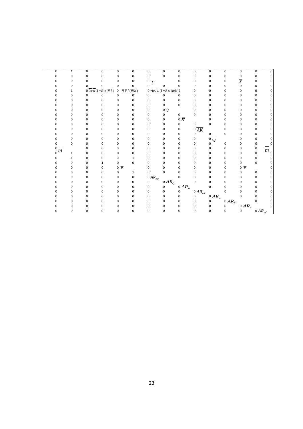| 0              | $\mathbf{1}$            | $\pmb{0}$   | 0                                                                                | 0                                                                 | 0            | 0                      | 0                                                                                    | $\mathbf 0$        | 0                              | $\pmb{0}$            | 0                     | $\pmb{0}$                 | 0                              | U                  |
|----------------|-------------------------|-------------|----------------------------------------------------------------------------------|-------------------------------------------------------------------|--------------|------------------------|--------------------------------------------------------------------------------------|--------------------|--------------------------------|----------------------|-----------------------|---------------------------|--------------------------------|--------------------|
| $\Omega$       | $\mathbf 0$             | 0           | $\mathbf 0$                                                                      | 0                                                                 | 0            | $\mathbf 0$            | 0                                                                                    | 0                  | 0                              | $\pmb{0}$            | 0                     | $\pmb{0}$                 | 0                              | U                  |
|                | 0                       | 0           | $\mathbf 0$                                                                      | 0                                                                 | $\mathbf 0$  | $0 \frac{1}{X}$        |                                                                                      | 0                  | 0                              | 0                    | 0                     | $\overline{\overline{X}}$ | 0                              | 0                  |
|                | $\mathbf 0$             | $\Omega$    | 0                                                                                | 0                                                                 | 0            | 0                      | 0                                                                                    | 0                  | 0                              | 0                    | 0                     | 0                         | 0                              | 0                  |
|                | $^{\text{{\small -1}}}$ |             | $0 \overline{lev} \overline{w} (1 + \overline{R}) / (\overline{m} \overline{k})$ | $0-\overline{q}\,\overline{x}\,/\,(\overline{m}\,\overline{k}\,)$ |              |                        | $0-\overline{lev}\,\overline{w}\, (1+\overline{R})/(\overline{m}\,\overline{k}\,)\,$ |                    | 0                              | $\Omega$             | 0                     | 0                         | 0                              | 0                  |
|                | $\pmb{0}$               | $\mathbf 0$ | 0                                                                                | $\Omega$                                                          | 0            | $\Omega$               | $\Omega$                                                                             | $\Omega$           | $\Omega$                       | 0                    | 0                     | 0                         | 0                              | $\Omega$           |
|                | $\mathbf 0$             | 0           | $\mathbf 0$                                                                      | 0                                                                 | 0            | 0                      | 0                                                                                    | 0                  | 0                              | 0                    | 0                     | 0                         | 0                              | 0                  |
|                | $\mathbf 0$             | 0           | $\mathbf 0$                                                                      | 0                                                                 | $\mathbf 0$  | 0                      | $\mathbf 0$                                                                          | $\mathbf 0$        | $\Omega$                       | 0                    | 0                     | 0                         | 0                              | 0                  |
|                | $\mathbf 0$             | 0           | 0                                                                                | 0                                                                 | 0            | 0                      | 0 $\bar{\varrho}$                                                                    |                    | 0                              | 0                    | 0                     | 0                         | 0                              | $\Omega$           |
|                | $\mathbf 0$             | 0           | 0                                                                                | 0                                                                 | $\mathbf 0$  | 0                      | 0                                                                                    | $\mathbf 0$        | 0                              | $\Omega$             | 0                     | 0                         | 0                              | 0                  |
|                | $\mathbf 0$             | 0           | $\mathbf 0$                                                                      | $\mathbf 0$                                                       | 0            | 0                      | 0                                                                                    | 0 $\overline{\pi}$ |                                | $\pmb{0}$            | O                     | 0                         | 0                              | $\Omega$           |
|                | $\mathbf 0$             | 0           | $\mathbf 0$                                                                      | 0                                                                 | 0            | 0                      | 0                                                                                    | 0                  | 0                              | $\pmb{0}$            | 0                     | 0                         | 0                              | 0                  |
|                | $\Omega$                | 0           | $\mathbf 0$                                                                      | 0                                                                 | $\mathbf 0$  | 0                      | 0                                                                                    | 0                  | $0\overline{AK}$               |                      | $\Omega$              | $\Omega$                  | 0                              | $\Omega$           |
|                | 0                       | 0           | 0                                                                                | 0                                                                 | 0            | 0                      | 0                                                                                    | $\pmb{0}$          | 0                              | 0                    | 0                     | 0                         | 0                              | 0                  |
| O              | $\mathbf 0$             | 0           | $\mathbf 0$                                                                      | 0                                                                 | $\mathbf 0$  | 0                      | 0                                                                                    | $\pmb{0}$          | 0                              | $\overline{\circ w}$ |                       | 0                         | 0                              | 0                  |
| 0              | $\mathbf 0$             | 0           | 0                                                                                | 0                                                                 | 0            | 0                      | 0                                                                                    | 0                  | 0                              | $\Omega$             | 0                     | 0                         | 0                              |                    |
| $\frac{0}{0}m$ |                         | $\Omega$    | $\mathbf 0$                                                                      | 0                                                                 | 0            | 0                      | 0                                                                                    | $\Omega$           | 0                              | 0                    | 0                     | $\mathbf 0$               | 0                              |                    |
|                | $\mathbf{1}$            | 0           | $\mathbf 0$                                                                      | 0                                                                 | 0            | 0                      | 0                                                                                    | 0                  | 0                              | $\pmb{0}$            | 0                     | 0                         | $\pmb{0}$                      | $\overline{m}_{0}$ |
| 0              | $-1$                    | 0           | 0                                                                                | 0                                                                 | 1            | 0                      | 0                                                                                    | 0                  | 0                              | $\mathbf 0$          | 0                     | 0                         | 0                              | 0                  |
| n              | 0                       | 0           | $\mathbf{1}$                                                                     | $\mathbf 0$                                                       | $\mathbf 0$  | 0                      | O                                                                                    | $\Omega$           | 0                              | 0                    | 0                     | $\mathbf 0$               | 0                              | 0                  |
|                | $\mathbf 0$             | 0           | 0                                                                                | $0 \bar{x}$                                                       |              | 0                      | 0                                                                                    | 0                  | 0                              | 0                    | 0                     | $0 \bar{x}$               |                                | 0                  |
|                | $\mathbf 0$             | 0           | 0                                                                                | 0                                                                 | $\mathbf{1}$ | 0                      | 0                                                                                    | 0                  | 0                              | 0                    | 0                     | 0                         | 0                              | 0                  |
|                | $\mathbf{0}$            | 0           | 0                                                                                | 0                                                                 | $\pmb{0}$    | 0 $A R_{\textit{pof}}$ |                                                                                      | $\mathbf 0$        | 0                              | 0                    | 0                     | 0                         | 0                              | 0                  |
|                | 0                       | 0           | 0                                                                                | 0                                                                 | 0            | 0                      | 0 $AR_{\mathcal{Q}}$                                                                 |                    | $\mathbf 0$                    | $\mathbf 0$          | 0                     | 0                         | 0                              | 0                  |
|                | $\mathbf 0$             | 0           | $\mathbf 0$                                                                      | 0                                                                 | $\mathbf 0$  | 0                      | 0                                                                                    | 0 $A R_{\pi}$      |                                | $\mathbf 0$          | 0                     | $\Omega$                  | 0                              | 0                  |
|                | $\mathbf 0$             | 0           | 0                                                                                | 0                                                                 | 0            | 0                      | 0                                                                                    | 0                  | 0 $AR_{\scriptscriptstyle AK}$ |                      | 0                     | $\pmb{0}$                 | 0                              | 0                  |
|                | $\mathbf 0$             | 0           | 0                                                                                | 0                                                                 | 0            | 0                      | 0                                                                                    | 0                  | 0                              | 0 $AR_{w}$           |                       | $\mathbf 0$               | 0                              | 0                  |
|                | 0                       | 0           | 0                                                                                | 0                                                                 | 0            | 0                      | 0                                                                                    | 0                  | 0                              | $\pmb{0}$            | 0 $AR_{\overline{X}}$ |                           | 0                              | 0                  |
|                | $\mathbf 0$             | 0           | $\mathbf 0$                                                                      | 0                                                                 | 0            | 0                      | 0                                                                                    | $\pmb{0}$          | 0                              | 0                    | 0                     | 0 $AR_x$                  |                                | $\Omega$           |
| $\Omega$       | $\mathbf 0$             | 0           | $\mathbf 0$                                                                      | 0                                                                 | $\mathbf 0$  | $\Omega$               | $\Omega$                                                                             | $\mathbf 0$        | 0                              | $\mathbf 0$          | 0                     | $\Omega$                  | 0 $AR_{\scriptscriptstyle M'}$ |                    |
|                |                         |             |                                                                                  |                                                                   |              |                        |                                                                                      |                    |                                |                      |                       |                           |                                |                    |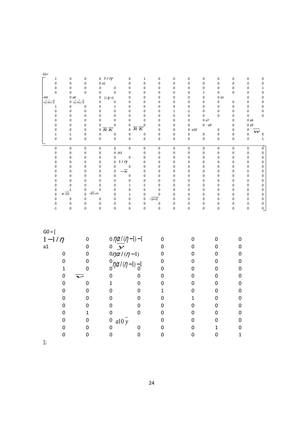| $G1=$                                                  |                                   |                                                  |                                          |                                                                    |                            |                        |                  |                        |                          |                  |            |                            |
|--------------------------------------------------------|-----------------------------------|--------------------------------------------------|------------------------------------------|--------------------------------------------------------------------|----------------------------|------------------------|------------------|------------------------|--------------------------|------------------|------------|----------------------------|
| $\mathbf 1$                                            | 0                                 | $\pmb{0}$                                        | $0 \frac{1}{\eta}$                       | 0<br>$1\,$                                                         | $\pmb{0}$                  | $\pmb{0}$              | $\pmb{0}$        | $\pmb{0}$              | $\pmb{0}$                | 0                | 0          | $\pmb{0}$                  |
| $\pmb{0}$                                              | 0                                 | $\mathbf 0$                                      | 0a1                                      | $\mathbf 0$<br>$\mathbf 0$                                         | $\mathbf 0$                | $\pmb{0}$              | $\pmb{0}$        | $\pmb{0}$              | $\mathbf 0$              | $\pmb{0}$        | $\pmb{0}$  | $\pmb{0}$                  |
| $\pmb{0}$                                              | 0                                 | $\mathbf 0$                                      | $\pmb{0}$<br>$\pmb{0}$                   | $\mathbf 0$<br>0                                                   | $\pmb{0}$                  | $\pmb{0}$              | 0                | $\pmb{0}$              | $\mathbf 0$              | $\pmb{0}$        | 0          | $\mathbf 1$                |
| $\mathbf 0$<br>-A4                                     | 0<br>0a4                          | $\mathbf 0$                                      | $\mathbf 0$<br>0<br>0                    | $\pmb{0}$<br>$\mathbf 0$<br>0<br>$\mathbf 0$                       | $\pmb{0}$<br>$\pmb{0}$     | $\pmb{0}$<br>$\pmb{0}$ | 0<br>0           | $\,1\,$<br>$\pmb{0}$   | $\pmb{0}$<br>0a5         | 0                | 0<br>0     | $\mathbf 0$<br>$\mathbf 0$ |
| $-\left(\overline{x}+\overline{v}\right)/\overline{N}$ |                                   | $0 - (\overline{x} + \overline{v})/\overline{N}$ | $1/\alpha-1$<br>0<br>$\pmb{0}$           | $\pmb{0}$<br>$\mathbf 0$                                           | $\pmb{0}$                  | $\pmb{0}$              | 0                | 0                      | $\pmb{0}$                | 0                | 0          | $\pmb{0}$                  |
| $\,1\,$                                                | 0                                 | $\pmb{0}$                                        | 0<br>$\mathbf 1$                         | 0<br>$\mathbf 0$                                                   | $\mathbf 0$                | $\pmb{0}$              | $\pmb{0}$        | $\pmb{0}$              | $\mathbf 0$              | 0                | 0          | $\pmb{0}$                  |
| $\pmb{0}$                                              | 0                                 | $\pmb{0}$                                        | $\pmb{0}$<br>0                           | 0<br>$\mathbf 0$                                                   | $\pmb{0}$                  | $\mathbf 1$            | $-1$             | $\pmb{0}$              | $\pmb{0}$                | 0                | 0          | $\pmb{0}$                  |
| $\pmb{0}$                                              | 0                                 | $\pmb{0}$                                        | 0<br>0                                   | 0<br>$\pmb{0}$                                                     | $\mathbf 0$                | $\pmb{0}$              | $\pmb{0}$        | 0                      | $\mathbf 0$              | 0                | 0          | $\pmb{0}$                  |
| $\pmb{0}$<br>0                                         | 0<br>0                            | $\pmb{0}$<br>$\pmb{0}$                           | 0<br>0<br>$\pmb{0}$<br>0                 | $\pmb{0}$<br>0<br>$\pmb{0}$<br>0                                   | $\mathbf 0$<br>$\mathbf 0$ | $\pmb{0}$<br>$\pmb{0}$ | $\pmb{0}$<br>0   | 0a7<br>$0 - a9$        |                          | 0<br>0           | 0a6<br>0a9 |                            |
| $\pmb{0}$                                              | $\pmb{0}$                         | $\mathbf 0$                                      | $0 \overline{R} \overline{K}$            | $\overline{R} \overline{K}$<br>$\mathbf 0$                         | $\mathbf 0$                | $\pmb{0}$              | $0 - a10$        |                        | $\pmb{0}$                | 0                | 0          |                            |
| $\mathbf 1$                                            | $^{\rm -1}$                       | $\pmb{0}$                                        | $\pmb{0}$<br>0                           | $\pmb{0}$<br>$\pmb{0}$                                             | $\pmb{0}$                  | $\pmb{0}$              | $\pmb{0}$        | $\pmb{0}$              | $\pmb{0}$                | 0                | 0          | w<br>$\pmb{0}$             |
| $\pmb{0}$                                              | $\pmb{0}$                         | $\pmb{0}$                                        | $\pmb{0}$<br>$\mathbf 0$                 | $\mathbf 0$<br>$\pmb{0}$                                           | $\mathbf 0$                | $\pmb{0}$              | $\pmb{0}$        | $\pmb{0}$              | $\mathbf 0$              | 0                | 0          | $\,1\,$                    |
| $\pmb{0}$                                              | 0                                 | $\mathbf 0$                                      | 0<br>$\pmb{0}$                           | $\pmb{0}$<br>$\pmb{0}$                                             | $\pmb{0}$                  | $\pmb{0}$              | $\pmb{0}$        | $\pmb{0}$              | $\pmb{0}$                | 0                | 0          | $\pmb{0}$                  |
| $\pmb{0}$                                              | 0                                 | $\pmb{0}$                                        | $0 - A3$<br>$\pmb{0}$                    | $\pmb{0}$                                                          | $\pmb{0}$                  | $\pmb{0}$              | $\pmb{0}$        | $\pmb{0}$              | $\pmb{0}$                | 0                | 0          | $\pmb{0}$                  |
| 0                                                      | 0                                 | $\pmb{0}$                                        | 0<br>0                                   | 0<br>$\pmb{0}$                                                     | $\mathbf 0$                | $\pmb{0}$              | 0                | $\pmb{0}$              | $\mathbf 0$              | 0                | 0          | $\pmb{0}$                  |
| 0<br>0                                                 | 0<br>0                            | $\pmb{0}$<br>$\pmb{0}$                           | $1/\eta$<br>0<br>0<br>0<br>0             | 0<br>0<br>0                                                        | $\pmb{0}$<br>$\mathbf 0$   | $\pmb{0}$<br>$\pmb{0}$ | 0<br>0           | $\pmb{0}$<br>$\pmb{0}$ | $\mathbf 0$<br>$\pmb{0}$ | 0<br>0           | 0<br>0     | $\pmb{0}$<br>$\pmb{0}$     |
| 0                                                      | 0                                 | $\pmb{0}$                                        | 0<br>0                                   | $-x$<br>0                                                          | $\pmb{0}$                  | $\pmb{0}$              | 0                | $\mathbf 0$            | $\pmb{0}$                | 0                | 0          | $\mathbf 0$                |
| 0                                                      | 0                                 | 0                                                | 0<br>0                                   | 0<br>$\mathbf 0$                                                   | $\mathbf 0$                | $\pmb{0}$              | 0                | 0                      | $\mathbf 0$              | 0                | 0          | $\mathbf 0$                |
| 0                                                      | 0                                 | $\mathbf 0$                                      | 0<br>0                                   | $\pmb{0}$<br>$\pmb{0}$                                             | $\mathbf 0$                | $\pmb{0}$              | $\pmb{0}$        | 0                      | $\mathbf 0$              | 0                | 0          | $\mathbf 0$                |
| 0                                                      | $\mathbf 0$                       | $\mathbf 0$                                      | 0<br>0                                   | $\mathbf 1$<br>$^{\rm -1}$                                         | $\mathbf 0$                | $\pmb{0}$              | 0                | 0                      | $\pmb{0}$                | 0                | 0          | $\pmb{0}$                  |
| 0<br>0                                                 | $^{\mbox{-}}1$<br>$\varepsilon$ m | $\mathbf 0$<br>$\mathbf 0$                       | 0<br>0<br>$-lev a9$<br>0                 | $\pmb{0}$<br>$\pmb{0}$<br>$\mathbf 1$<br>$\pmb{0}$                 | $\pmb{0}$<br>$\mathbf 0$   | $\pmb{0}$<br>$\pmb{0}$ | 0<br>0           | 0<br>0                 | $\pmb{0}$<br>$\mathbf 0$ | 0<br>0           | 0<br>0     | $\mathbf 0$<br>0           |
| $\pmb{0}$                                              | 0                                 | $\pmb{0}$                                        | 0<br>0                                   | 0<br>$\pmb{0}$                                                     | $-prof$                    | $\pmb{0}$              | $\pmb{0}$        | $\pmb{0}$              | $\mathbf 0$              | 0                | 0          | $\mathbf 0$                |
| $\pmb{0}$                                              | 0                                 | $\pmb{0}$                                        | 0<br>0                                   | 0<br>$\pmb{0}$                                                     | $\pmb{0}$                  | $\pmb{0}$              | 0                | $\pmb{0}$              | $\pmb{0}$                | 0                | 0          | $\pmb{0}$                  |
| $-1$                                                   | 0                                 | $\pmb{0}$                                        | 0<br>0                                   | $\pmb{0}$<br>0                                                     | $\pmb{0}$                  | $\pmb{0}$              | 0                | $\pmb{0}$              | $\mathbf 0$              | 0                | 0          | $\mathbf 0$                |
| $GO = [$                                               |                                   |                                                  |                                          |                                                                    |                            |                        |                  |                        |                          |                  |            |                            |
| $1-1/\eta$                                             |                                   | 0                                                |                                          |                                                                    | $\boldsymbol{0}$           |                        | 0                |                        | 0                        | 0                |            |                            |
| a1                                                     |                                   | $\mathbf 0$                                      |                                          | o $\eta \frac{\alpha}{\gamma}$<br>o $\frac{\gamma \alpha}{\gamma}$ | $\boldsymbol{0}$           |                        | 0                |                        | 0                        | 0                |            |                            |
|                                                        | $\boldsymbol{0}$                  | $\boldsymbol{0}$                                 | $0\eta\alpha/(\eta-1)$                   |                                                                    | 0                          |                        | 0                |                        | 0                        | $\pmb{0}$        |            |                            |
|                                                        | $\mathbf 0$                       | $\boldsymbol{0}$                                 |                                          |                                                                    | 0                          |                        | 0                |                        | 0                        | 0                |            |                            |
|                                                        | $\mathbf{1}$                      | $\mathbf 0$                                      |                                          | $_{0}^{0}\eta\alpha/(\eta-1)-_{0}^{1}$                             | $\boldsymbol{0}$           |                        | 0                |                        | 0                        | 0                |            |                            |
|                                                        | $\mathbf 0$                       |                                                  | 0                                        | 0                                                                  | 0                          |                        | 0                |                        | 0                        | 0                |            |                            |
|                                                        |                                   |                                                  |                                          |                                                                    |                            |                        |                  |                        |                          |                  |            |                            |
|                                                        | $\mathbf 0$                       | $\pmb{0}$                                        | $\mathbf{1}$                             | 0                                                                  | 0                          |                        | 0                |                        | 0                        | 0                |            |                            |
|                                                        | $\boldsymbol{0}$                  | $\boldsymbol{0}$                                 | $\boldsymbol{0}$                         | 0                                                                  | $\mathbf 1$                |                        | $\boldsymbol{0}$ |                        | $\boldsymbol{0}$         | $\boldsymbol{0}$ |            |                            |
|                                                        | $\mathbf 0$                       | $\mathbf 0$                                      | 0                                        | 0                                                                  | $\mathbf 0$                |                        | 1                |                        | $\overline{0}$           | $\mathbf 0$      |            |                            |
|                                                        | $\boldsymbol{0}$                  | $\pmb{0}$                                        | 0                                        | $\mathbf 0$                                                        | $\boldsymbol{0}$           |                        | 0                |                        | 0                        | $\pmb{0}$        |            |                            |
|                                                        | $\pmb{0}$                         | $\mathbf 1$                                      | $\pmb{0}$                                | $\pmb{0}$                                                          | 0                          |                        | 0                |                        | 0                        | 0                |            |                            |
|                                                        | $\pmb{0}$                         | $\pmb{0}$                                        | a10y<br>$\begin{matrix}0\\0\end{matrix}$ |                                                                    | 0                          |                        | 0                |                        | 0                        | $\pmb{0}$        |            |                            |
|                                                        | $\pmb{0}$                         | $\pmb{0}$                                        |                                          | $\mathbf 0$                                                        | 0                          |                        | 0                |                        | $\mathbf 1$              | $\pmb{0}$        |            |                            |
|                                                        | $\pmb{0}$                         | $\boldsymbol{0}$                                 | $\mathbf 0$                              | 0                                                                  | $\pmb{0}$                  |                        | 0                |                        | 0                        | $\mathbf{1}$     |            |                            |

];